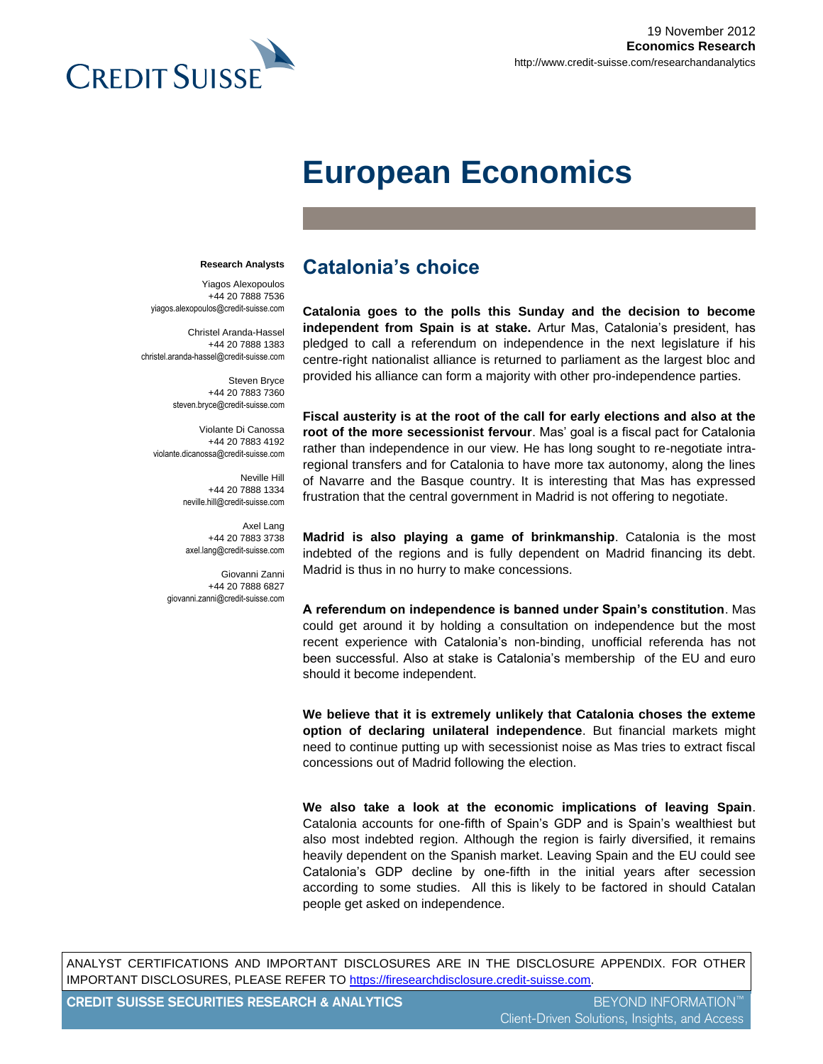

# **European Economics**

#### **Research Analysts**

Yiagos Alexopoulos +44 20 7888 7536 yiagos.alexopoulos@credit-suisse.com

Christel Aranda-Hassel +44 20 7888 1383 christel.aranda-hassel@credit-suisse.com

> Steven Bryce +44 20 7883 7360 steven.bryce@credit-suisse.com

Violante Di Canossa +44 20 7883 4192 violante.dicanossa@credit-suisse.com

> Neville Hill +44 20 7888 1334 neville.hill@credit-suisse.com

Axel Lang +44 20 7883 3738 axel.lang@credit-suisse.com

Giovanni Zanni +44 20 7888 6827 giovanni.zanni@credit-suisse.com

# **Catalonia's choice**

**Catalonia goes to the polls this Sunday and the decision to become independent from Spain is at stake.** Artur Mas, Catalonia's president, has pledged to call a referendum on independence in the next legislature if his centre-right nationalist alliance is returned to parliament as the largest bloc and provided his alliance can form a majority with other pro-independence parties.

**Fiscal austerity is at the root of the call for early elections and also at the root of the more secessionist fervour**. Mas' goal is a fiscal pact for Catalonia rather than independence in our view. He has long sought to re-negotiate intraregional transfers and for Catalonia to have more tax autonomy, along the lines of Navarre and the Basque country. It is interesting that Mas has expressed frustration that the central government in Madrid is not offering to negotiate.

**Madrid is also playing a game of brinkmanship**. Catalonia is the most indebted of the regions and is fully dependent on Madrid financing its debt. Madrid is thus in no hurry to make concessions.

**A referendum on independence is banned under Spain's constitution**. Mas could get around it by holding a consultation on independence but the most recent experience with Catalonia's non-binding, unofficial referenda has not been successful. Also at stake is Catalonia's membership of the EU and euro should it become independent.

**We believe that it is extremely unlikely that Catalonia choses the exteme option of declaring unilateral independence**. But financial markets might need to continue putting up with secessionist noise as Mas tries to extract fiscal concessions out of Madrid following the election.

**We also take a look at the economic implications of leaving Spain**. Catalonia accounts for one-fifth of Spain's GDP and is Spain's wealthiest but also most indebted region. Although the region is fairly diversified, it remains heavily dependent on the Spanish market. Leaving Spain and the EU could see Catalonia's GDP decline by one-fifth in the initial years after secession according to some studies. All this is likely to be factored in should Catalan people get asked on independence.

ANALYST CERTIFICATIONS AND IMPORTANT DISCLOSURES ARE IN THE DISCLOSURE APPENDIX. FOR OTHER IMPORTANT DISCLOSURES, PLEASE REFER TO https://firesearchdisclosure.credit-suisse.com.

**CREDIT SUISSE SECURITIES RESEARCH & ANALYTICS** BEYOND INFORMATION™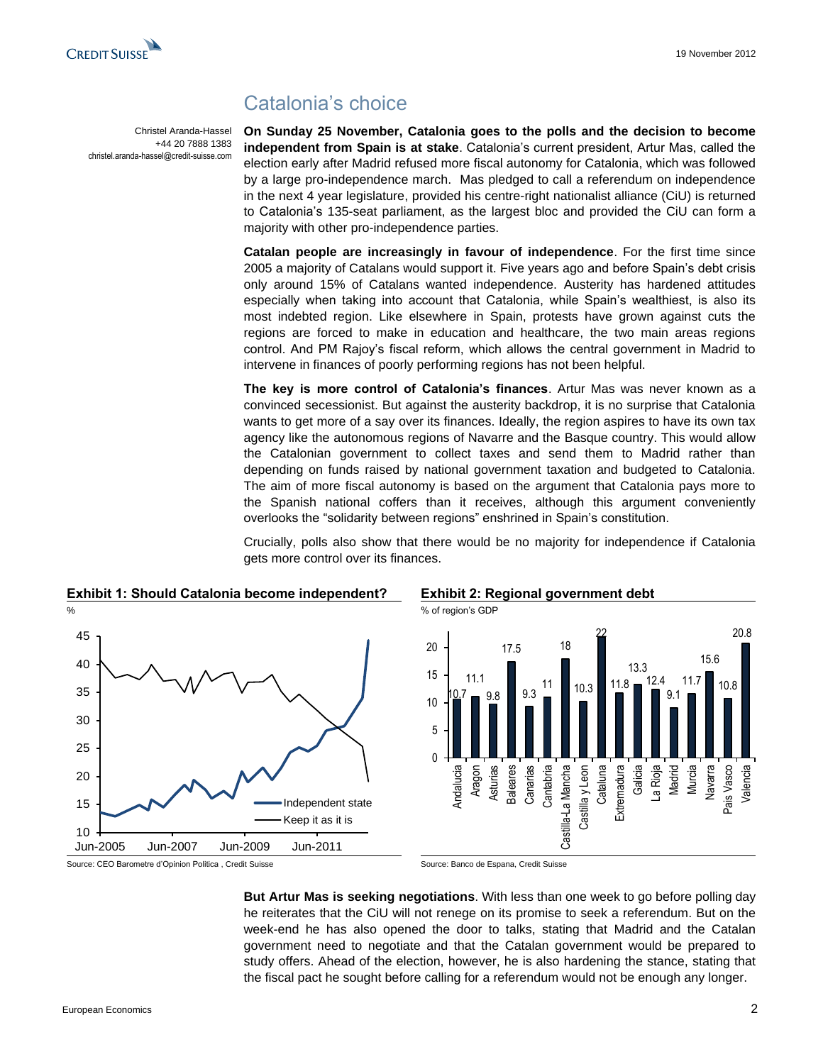

Christel Aranda-Hassel +44 20 7888 1383

christel.aranda-hassel@credit-suisse.com

# Catalonia's choice

**On Sunday 25 November, Catalonia goes to the polls and the decision to become independent from Spain is at stake**. Catalonia's current president, Artur Mas, called the election early after Madrid refused more fiscal autonomy for Catalonia, which was followed by a large pro-independence march. Mas pledged to call a referendum on independence in the next 4 year legislature, provided his centre-right nationalist alliance (CiU) is returned to Catalonia's 135-seat parliament, as the largest bloc and provided the CiU can form a majority with other pro-independence parties.

**Catalan people are increasingly in favour of independence**. For the first time since 2005 a majority of Catalans would support it. Five years ago and before Spain's debt crisis only around 15% of Catalans wanted independence. Austerity has hardened attitudes especially when taking into account that Catalonia, while Spain's wealthiest, is also its most indebted region. Like elsewhere in Spain, protests have grown against cuts the regions are forced to make in education and healthcare, the two main areas regions control. And PM Rajoy's fiscal reform, which allows the central government in Madrid to intervene in finances of poorly performing regions has not been helpful.

**The key is more control of Catalonia's finances**. Artur Mas was never known as a convinced secessionist. But against the austerity backdrop, it is no surprise that Catalonia wants to get more of a say over its finances. Ideally, the region aspires to have its own tax agency like the autonomous regions of Navarre and the Basque country. This would allow the Catalonian government to collect taxes and send them to Madrid rather than depending on funds raised by national government taxation and budgeted to Catalonia. The aim of more fiscal autonomy is based on the argument that Catalonia pays more to the Spanish national coffers than it receives, although this argument conveniently overlooks the "solidarity between regions" enshrined in Spain's constitution.

Crucially, polls also show that there would be no majority for independence if Catalonia gets more control over its finances.

17.5

 $9.3$ 11 18

Castilla-La Mancha Castilla y Leon Cataluna **Extremadura** Galicia La Rioja Madrid Murcia Navarra Pais Vasco Valencia

Castilla-La Mancha

10.3

22

11.8 13.3 12.4 9.1 11.7

15.6

10.8

20.8



# **Exhibit 1: Should Catalonia become independent? Exhibit 2: Regional government debt**

10.7 11.1 9.8

Andalucia Aragon Asturias **Baleares Canarias** Cantabria

 $\Omega$ 5

10

15

20

**But Artur Mas is seeking negotiations**. With less than one week to go before polling day he reiterates that the CiU will not renege on its promise to seek a referendum. But on the week-end he has also opened the door to talks, stating that Madrid and the Catalan government need to negotiate and that the Catalan government would be prepared to study offers. Ahead of the election, however, he is also hardening the stance, stating that the fiscal pact he sought before calling for a referendum would not be enough any longer.

Source: CEO Barometre d'Opinion Politica , Credit Suisse Source: Banco de Espana, Credit Suisse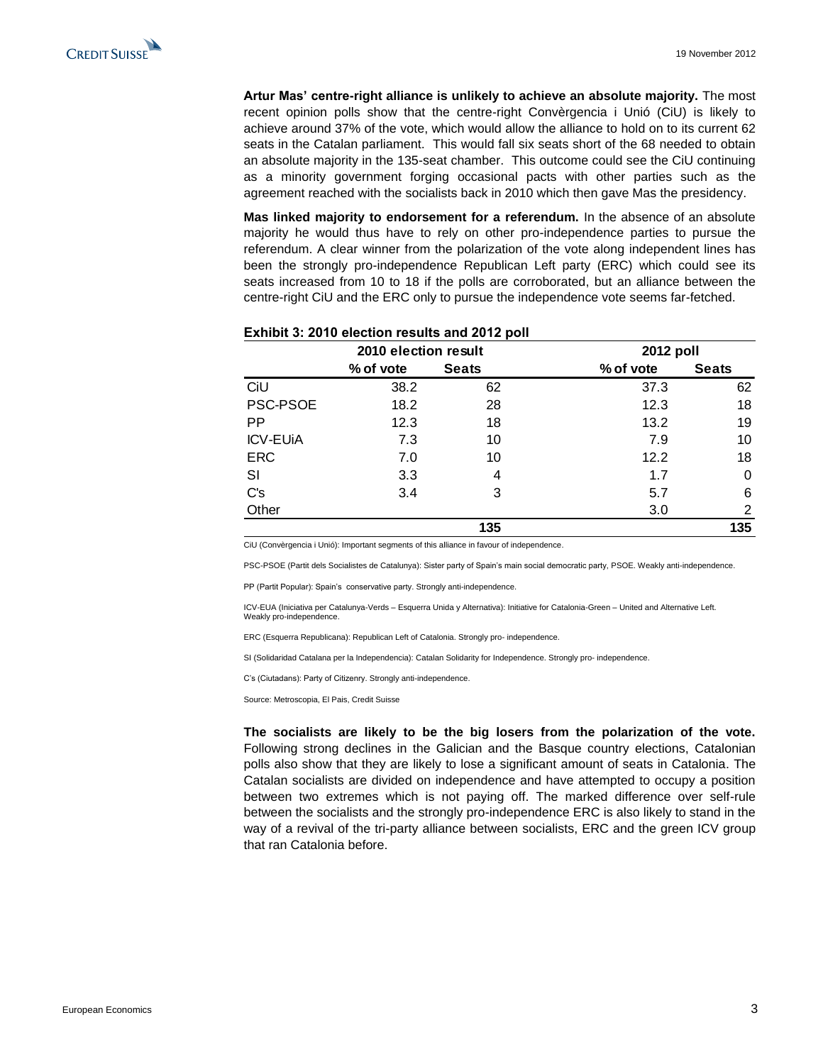**Artur Mas' centre-right alliance is unlikely to achieve an absolute majority.** The most recent opinion polls show that the centre-right Convèrgencia i Unió (CiU) is likely to achieve around 37% of the vote, which would allow the alliance to hold on to its current 62 seats in the Catalan parliament. This would fall six seats short of the 68 needed to obtain an absolute majority in the 135-seat chamber. This outcome could see the CiU continuing as a minority government forging occasional pacts with other parties such as the agreement reached with the socialists back in 2010 which then gave Mas the presidency.

**Mas linked majority to endorsement for a referendum.** In the absence of an absolute majority he would thus have to rely on other pro-independence parties to pursue the referendum. A clear winner from the polarization of the vote along independent lines has been the strongly pro-independence Republican Left party (ERC) which could see its seats increased from 10 to 18 if the polls are corroborated, but an alliance between the centre-right CiU and the ERC only to pursue the independence vote seems far-fetched.

|                 | 2010 election result |              |           | 2012 poll    |  |  |
|-----------------|----------------------|--------------|-----------|--------------|--|--|
|                 | % of vote            | <b>Seats</b> | % of vote | <b>Seats</b> |  |  |
| CiU             | 38.2                 | 62           | 37.3      | 62           |  |  |
| PSC-PSOE        | 18.2                 | 28           | 12.3      | 18           |  |  |
| <b>PP</b>       | 12.3                 | 18           | 13.2      | 19           |  |  |
| <b>ICV-EUIA</b> | 7.3                  | 10           | 7.9       | 10           |  |  |
| <b>ERC</b>      | 7.0                  | 10           | 12.2      | 18           |  |  |
| SI              | 3.3                  | 4            | 1.7       | 0            |  |  |
| C's             | 3.4                  | 3            | 5.7       | 6            |  |  |
| Other           |                      |              | 3.0       | 2            |  |  |
|                 |                      | 135          |           | 135          |  |  |

# **Exhibit 3: 2010 election results and 2012 poll**

CiU (Convèrgencia i Unió): Important segments of this alliance in favour of independence.

PSC-PSOE (Partit dels Socialistes de Catalunya): Sister party of Spain's main social democratic party, PSOE. Weakly anti-independence.

PP (Partit Popular): Spain's conservative party. Strongly anti-independence.

ICV-EUA (Iniciativa per Catalunya-Verds – Esquerra Unida y Alternativa): Initiative for Catalonia-Green – United and Alternative Left. Weakly pro-independence.

ERC (Esquerra Republicana): Republican Left of Catalonia. Strongly pro- independence.

SI (Solidaridad Catalana per la Independencia): Catalan Solidarity for Independence. Strongly pro- independence.

C's (Ciutadans): Party of Citizenry. Strongly anti-independence.

Source: Metroscopia, El Pais, Credit Suisse

**The socialists are likely to be the big losers from the polarization of the vote.**  Following strong declines in the Galician and the Basque country elections, Catalonian polls also show that they are likely to lose a significant amount of seats in Catalonia. The Catalan socialists are divided on independence and have attempted to occupy a position between two extremes which is not paying off. The marked difference over self-rule between the socialists and the strongly pro-independence ERC is also likely to stand in the way of a revival of the tri-party alliance between socialists, ERC and the green ICV group that ran Catalonia before.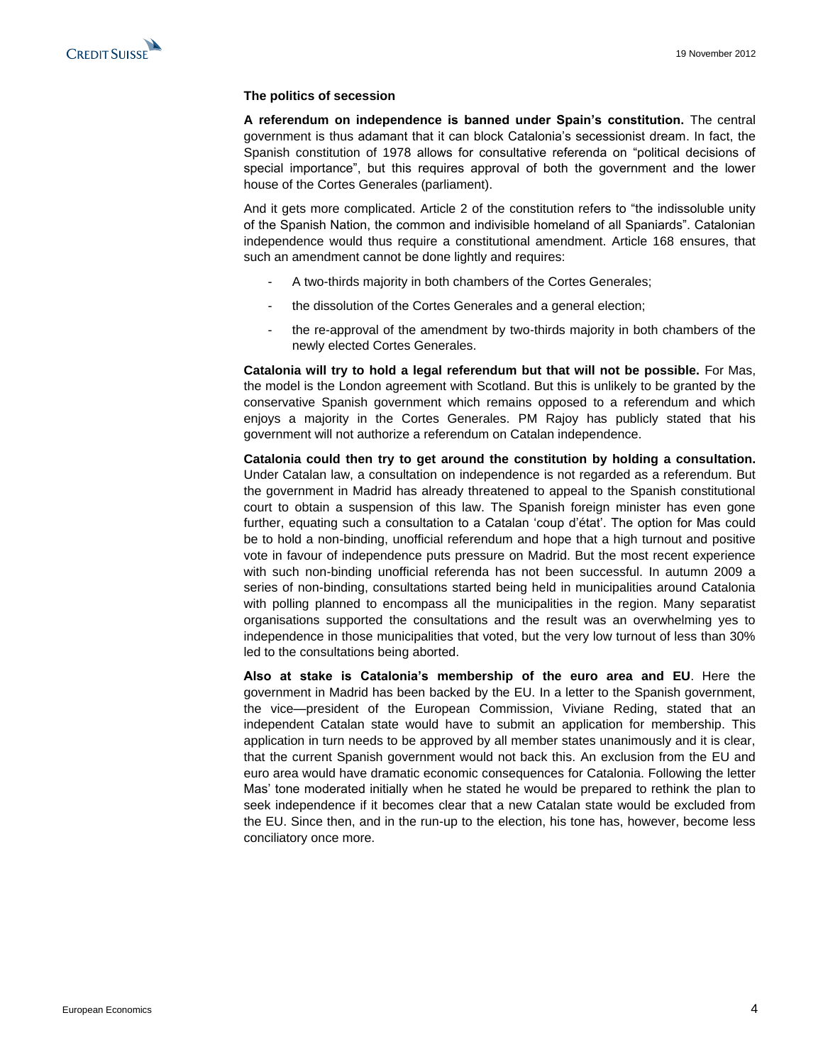### **The politics of secession**

**A referendum on independence is banned under Spain's constitution.** The central government is thus adamant that it can block Catalonia's secessionist dream. In fact, the Spanish constitution of 1978 allows for consultative referenda on "political decisions of special importance", but this requires approval of both the government and the lower house of the Cortes Generales (parliament).

And it gets more complicated. Article 2 of the constitution refers to "the indissoluble unity of the Spanish Nation, the common and indivisible homeland of all Spaniards". Catalonian independence would thus require a constitutional amendment. Article 168 ensures, that such an amendment cannot be done lightly and requires:

- A two-thirds majority in both chambers of the Cortes Generales;
- the dissolution of the Cortes Generales and a general election;
- the re-approval of the amendment by two-thirds majority in both chambers of the newly elected Cortes Generales.

**Catalonia will try to hold a legal referendum but that will not be possible.** For Mas, the model is the London agreement with Scotland. But this is unlikely to be granted by the conservative Spanish government which remains opposed to a referendum and which enjoys a majority in the Cortes Generales. PM Rajoy has publicly stated that his government will not authorize a referendum on Catalan independence.

**Catalonia could then try to get around the constitution by holding a consultation.**  Under Catalan law, a consultation on independence is not regarded as a referendum. But the government in Madrid has already threatened to appeal to the Spanish constitutional court to obtain a suspension of this law. The Spanish foreign minister has even gone further, equating such a consultation to a Catalan 'coup d'état'. The option for Mas could be to hold a non-binding, unofficial referendum and hope that a high turnout and positive vote in favour of independence puts pressure on Madrid. But the most recent experience with such non-binding unofficial referenda has not been successful. In autumn 2009 a series of non-binding, consultations started being held in municipalities around Catalonia with polling planned to encompass all the municipalities in the region. Many separatist organisations supported the consultations and the result was an overwhelming yes to independence in those municipalities that voted, but the very low turnout of less than 30% led to the consultations being aborted.

**Also at stake is Catalonia's membership of the euro area and EU**. Here the government in Madrid has been backed by the EU. In a letter to the Spanish government, the vice—president of the European Commission, Viviane Reding, stated that an independent Catalan state would have to submit an application for membership. This application in turn needs to be approved by all member states unanimously and it is clear, that the current Spanish government would not back this. An exclusion from the EU and euro area would have dramatic economic consequences for Catalonia. Following the letter Mas' tone moderated initially when he stated he would be prepared to rethink the plan to seek independence if it becomes clear that a new Catalan state would be excluded from the EU. Since then, and in the run-up to the election, his tone has, however, become less conciliatory once more.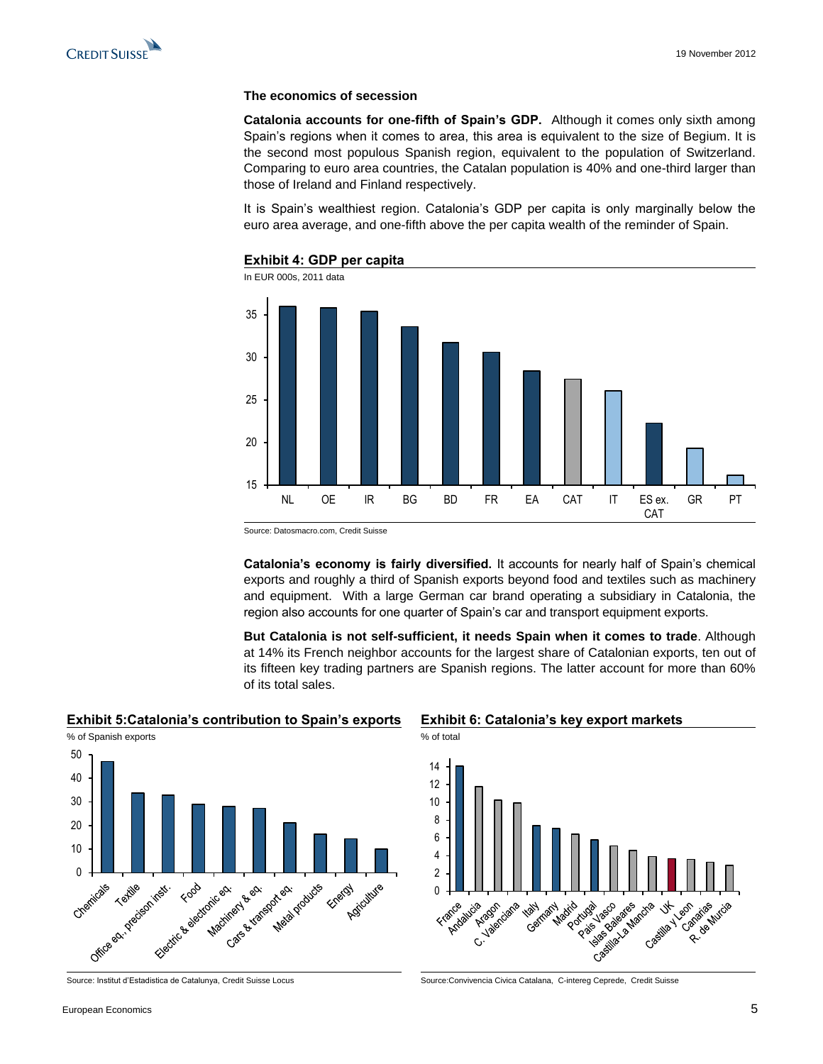

### **The economics of secession**

**Catalonia accounts for one-fifth of Spain's GDP.** Although it comes only sixth among Spain's regions when it comes to area, this area is equivalent to the size of Begium. It is the second most populous Spanish region, equivalent to the population of Switzerland. Comparing to euro area countries, the Catalan population is 40% and one-third larger than those of Ireland and Finland respectively.

It is Spain's wealthiest region. Catalonia's GDP per capita is only marginally below the euro area average, and one-fifth above the per capita wealth of the reminder of Spain.



### **Exhibit 4: GDP per capita**

Source: Datosmacro.com, Credit Suisse

**Catalonia's economy is fairly diversified.** It accounts for nearly half of Spain's chemical exports and roughly a third of Spanish exports beyond food and textiles such as machinery and equipment. With a large German car brand operating a subsidiary in Catalonia, the region also accounts for one quarter of Spain's car and transport equipment exports.

**But Catalonia is not self-sufficient, it needs Spain when it comes to trade**. Although at 14% its French neighbor accounts for the largest share of Catalonian exports, ten out of its fifteen key trading partners are Spanish regions. The latter account for more than 60% of its total sales.

### **Exhibit 5:Catalonia's contribution to Spain's exports Exhibit 6: Catalonia's key export markets**



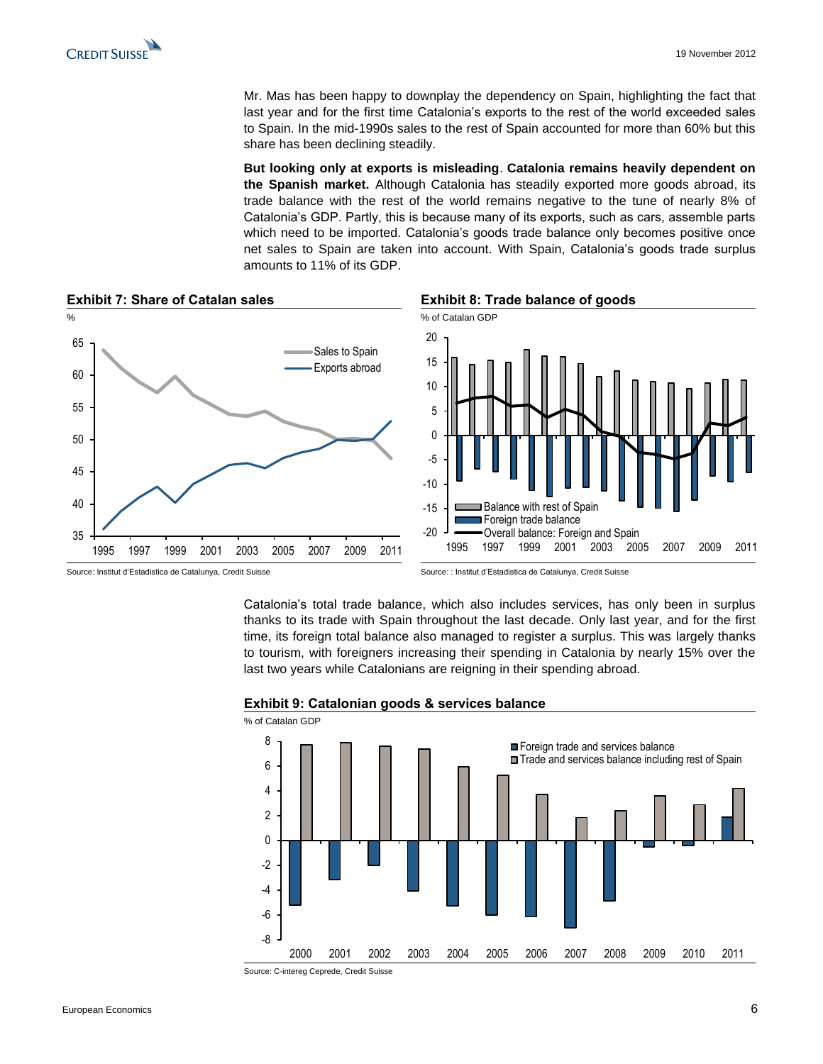Mr. Mas has been happy to downplay the dependency on Spain, highlighting the fact that last year and for the first time Catalonia's exports to the rest of the world exceeded sales to Spain. In the mid-1990s sales to the rest of Spain accounted for more than 60% but this share has been declining steadily.

**But looking only at exports is misleading**. **Catalonia remains heavily dependent on the Spanish market.** Although Catalonia has steadily exported more goods abroad, its trade balance with the rest of the world remains negative to the tune of nearly 8% of Catalonia's GDP. Partly, this is because many of its exports, such as cars, assemble parts which need to be imported. Catalonia's goods trade balance only becomes positive once net sales to Spain are taken into account. With Spain, Catalonia's goods trade surplus amounts to 11% of its GDP.



Source: Institut d'Estadistica de Catalunya, Credit Suisse Source: : Institut d'Estadistica de Catalunya, Credit Suisse

Catalonia's total trade balance, which also includes services, has only been in surplus thanks to its trade with Spain throughout the last decade. Only last year, and for the first time, its foreign total balance also managed to register a surplus. This was largely thanks to tourism, with foreigners increasing their spending in Catalonia by nearly 15% over the last two years while Catalonians are reigning in their spending abroad.



### **Exhibit 9: Catalonian goods & services balance**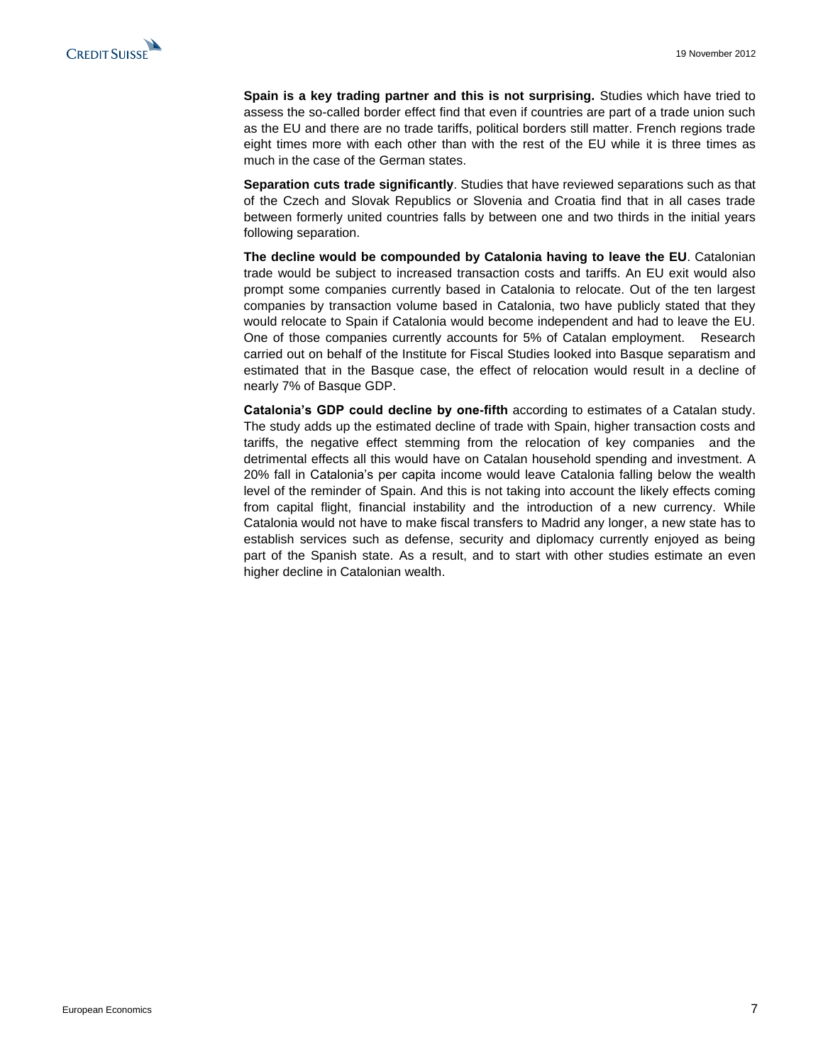**Spain is a key trading partner and this is not surprising.** Studies which have tried to assess the so-called border effect find that even if countries are part of a trade union such as the EU and there are no trade tariffs, political borders still matter. French regions trade eight times more with each other than with the rest of the EU while it is three times as much in the case of the German states.

**Separation cuts trade significantly**. Studies that have reviewed separations such as that of the Czech and Slovak Republics or Slovenia and Croatia find that in all cases trade between formerly united countries falls by between one and two thirds in the initial years following separation.

**The decline would be compounded by Catalonia having to leave the EU**. Catalonian trade would be subject to increased transaction costs and tariffs. An EU exit would also prompt some companies currently based in Catalonia to relocate. Out of the ten largest companies by transaction volume based in Catalonia, two have publicly stated that they would relocate to Spain if Catalonia would become independent and had to leave the EU. One of those companies currently accounts for 5% of Catalan employment. Research carried out on behalf of the Institute for Fiscal Studies looked into Basque separatism and estimated that in the Basque case, the effect of relocation would result in a decline of nearly 7% of Basque GDP.

**Catalonia's GDP could decline by one-fifth** according to estimates of a Catalan study. The study adds up the estimated decline of trade with Spain, higher transaction costs and tariffs, the negative effect stemming from the relocation of key companies and the detrimental effects all this would have on Catalan household spending and investment. A 20% fall in Catalonia's per capita income would leave Catalonia falling below the wealth level of the reminder of Spain. And this is not taking into account the likely effects coming from capital flight, financial instability and the introduction of a new currency. While Catalonia would not have to make fiscal transfers to Madrid any longer, a new state has to establish services such as defense, security and diplomacy currently enjoyed as being part of the Spanish state. As a result, and to start with other studies estimate an even higher decline in Catalonian wealth.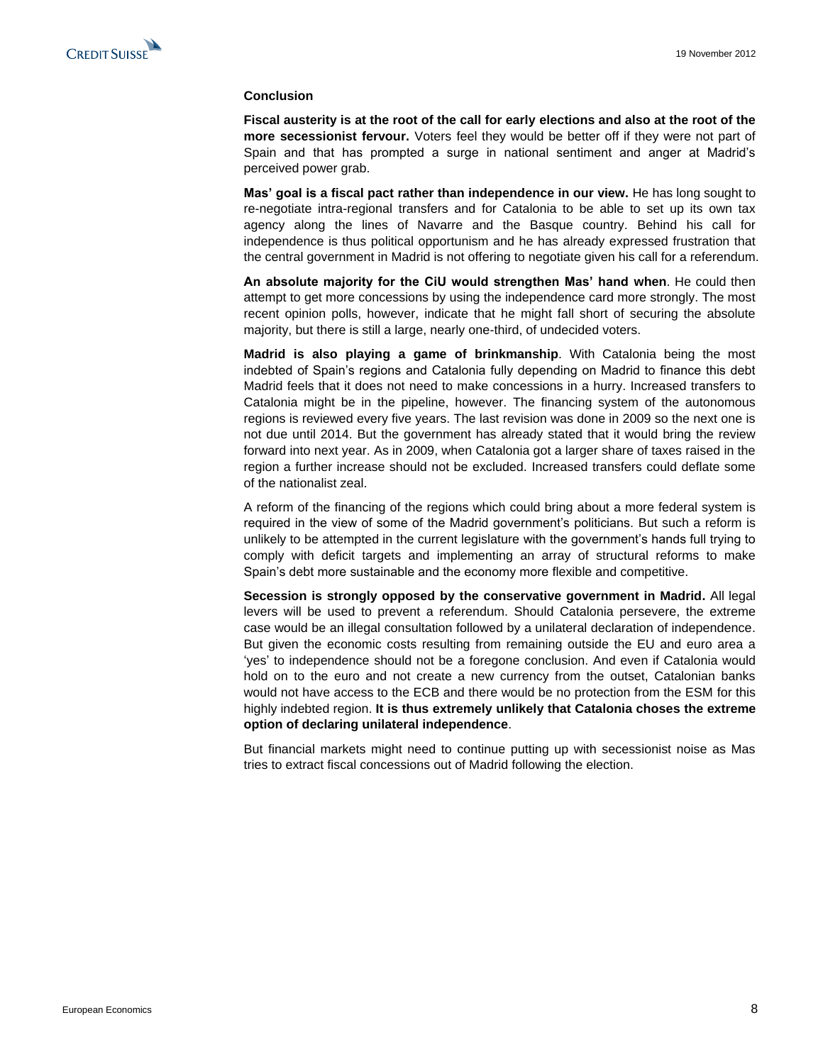### **Conclusion**

**Fiscal austerity is at the root of the call for early elections and also at the root of the more secessionist fervour.** Voters feel they would be better off if they were not part of Spain and that has prompted a surge in national sentiment and anger at Madrid's perceived power grab.

**Mas' goal is a fiscal pact rather than independence in our view.** He has long sought to re-negotiate intra-regional transfers and for Catalonia to be able to set up its own tax agency along the lines of Navarre and the Basque country. Behind his call for independence is thus political opportunism and he has already expressed frustration that the central government in Madrid is not offering to negotiate given his call for a referendum.

**An absolute majority for the CiU would strengthen Mas' hand when**. He could then attempt to get more concessions by using the independence card more strongly. The most recent opinion polls, however, indicate that he might fall short of securing the absolute majority, but there is still a large, nearly one-third, of undecided voters.

**Madrid is also playing a game of brinkmanship**. With Catalonia being the most indebted of Spain's regions and Catalonia fully depending on Madrid to finance this debt Madrid feels that it does not need to make concessions in a hurry. Increased transfers to Catalonia might be in the pipeline, however. The financing system of the autonomous regions is reviewed every five years. The last revision was done in 2009 so the next one is not due until 2014. But the government has already stated that it would bring the review forward into next year. As in 2009, when Catalonia got a larger share of taxes raised in the region a further increase should not be excluded. Increased transfers could deflate some of the nationalist zeal.

A reform of the financing of the regions which could bring about a more federal system is required in the view of some of the Madrid government's politicians. But such a reform is unlikely to be attempted in the current legislature with the government's hands full trying to comply with deficit targets and implementing an array of structural reforms to make Spain's debt more sustainable and the economy more flexible and competitive.

**Secession is strongly opposed by the conservative government in Madrid.** All legal levers will be used to prevent a referendum. Should Catalonia persevere, the extreme case would be an illegal consultation followed by a unilateral declaration of independence. But given the economic costs resulting from remaining outside the EU and euro area a 'yes' to independence should not be a foregone conclusion. And even if Catalonia would hold on to the euro and not create a new currency from the outset, Catalonian banks would not have access to the ECB and there would be no protection from the ESM for this highly indebted region. **It is thus extremely unlikely that Catalonia choses the extreme option of declaring unilateral independence**.

But financial markets might need to continue putting up with secessionist noise as Mas tries to extract fiscal concessions out of Madrid following the election.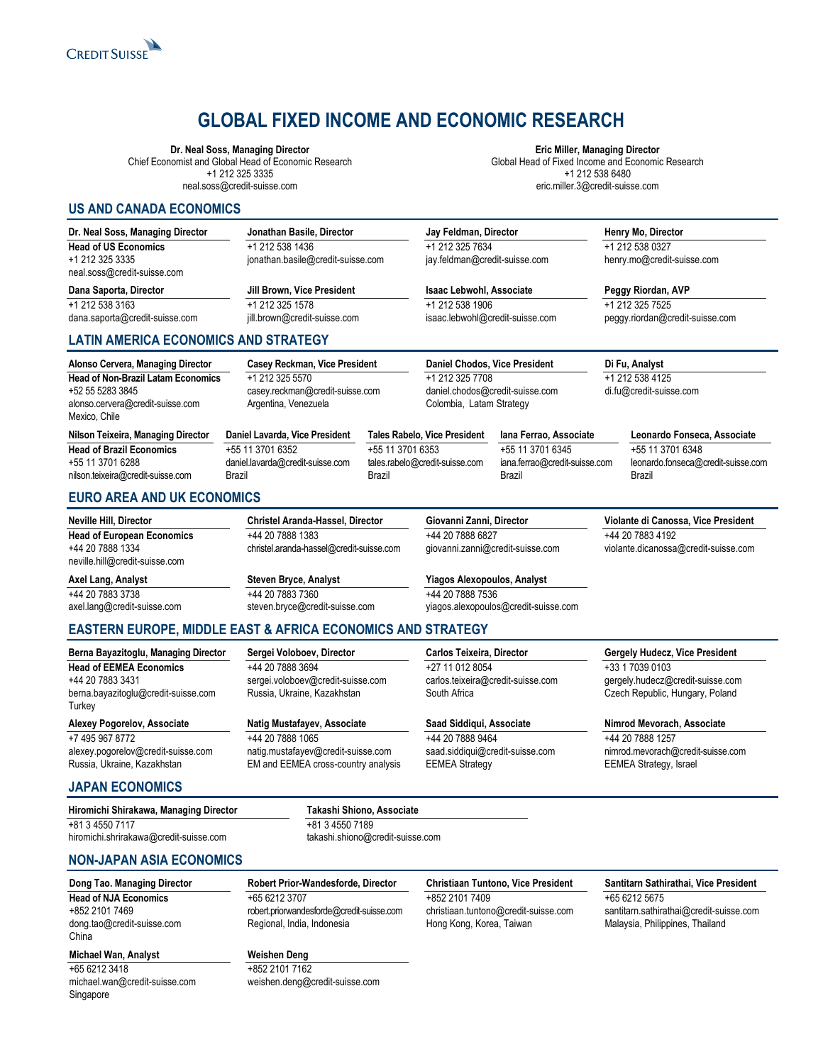

# **GLOBAL FIXED INCOME AND ECONOMIC RESEARCH**

#### **Dr. Neal Soss, Managing Director**

Chief Economist and Global Head of Economic Research +1 212 325 3335 neal.soss@credit-suisse.com

**Eric Miller, Managing Director** Global Head of Fixed Income and Economic Research +1 212 538 6480 eric.miller.3@credit-suisse.com

### **US AND CANADA ECONOMICS**

| Dr. Neal Soss, Managing Director               | Jonathan Basile, Director         | Jay Feldman, Director           | Henry Mo, Director              |
|------------------------------------------------|-----------------------------------|---------------------------------|---------------------------------|
| <b>Head of US Economics</b>                    | +1 212 538 1436                   | +1 212 325 7634                 | +1 212 538 0327                 |
| +1 212 325 3335<br>neal.soss@credit-suisse.com | jonathan.basile@credit-suisse.com | jay.feldman@credit-suisse.com   | henry.mo@credit-suisse.com      |
| Dana Saporta, Director                         | Jill Brown, Vice President        | <b>Isaac Lebwohl, Associate</b> | Peggy Riordan, AVP              |
| +1 212 538 3163                                | +1 212 325 1578                   | +1 212 538 1906                 | +1 212 325 7525                 |
| dana.saporta@credit-suisse.com                 | jill.brown@credit-suisse.com      | isaac.lebwohl@credit-suisse.com | peggy.riordan@credit-suisse.com |

# **LATIN AMERICA ECONOMICS AND STRATEGY**

| Alonso Cervera, Managing Director                                                                                  | Casey Reckman, Vice President                                              |                            | Daniel Chodos, Vice President                                                  |                                                             | Di Fu, Analyst                                                   |
|--------------------------------------------------------------------------------------------------------------------|----------------------------------------------------------------------------|----------------------------|--------------------------------------------------------------------------------|-------------------------------------------------------------|------------------------------------------------------------------|
| <b>Head of Non-Brazil Latam Economics</b><br>+52 55 5283 3845<br>alonso.cervera@credit-suisse.com<br>Mexico, Chile | +1 212 325 5570<br>casey.reckman@credit-suisse.com<br>Argentina, Venezuela |                            | +1 212 325 7708<br>daniel.chodos@credit-suisse.com<br>Colombia, Latam Strategy |                                                             | +1 212 538 4125<br>di.fu@credit-suisse.com                       |
| Nilson Teixeira, Managing Director                                                                                 | Daniel Lavarda, Vice President                                             |                            | Tales Rabelo, Vice President                                                   | lana Ferrao, Associate                                      | Leonardo Fonseca, Associate                                      |
| <b>Head of Brazil Economics</b><br>+55 11 3701 6288<br>nilson.teixeira@credit-suisse.com                           | +55 11 3701 6352<br>daniel.lavarda@credit-suisse.com<br>Brazil             | +55 11 3701 6353<br>Brazil | tales.rabelo@credit-suisse.com                                                 | +55 11 3701 6345<br>iana.ferrao@credit-suisse.com<br>Brazil | +55 11 3701 6348<br>leonardo.fonseca@credit-suisse.com<br>Brazil |

# **EURO AREA AND UK ECONOMICS**

| <b>Neville Hill, Director</b>                                                           | Christel Aranda-Hassel, Director                             | Giovanni Zanni, Director                               | Violante di Canossa, Vice President                      |
|-----------------------------------------------------------------------------------------|--------------------------------------------------------------|--------------------------------------------------------|----------------------------------------------------------|
| <b>Head of European Economics</b><br>+44 20 7888 1334<br>neville.hill@credit-suisse.com | +44 20 7888 1383<br>christel.aranda-hassel@credit-suisse.com | +44 20 7888 6827<br>giovanni.zanni@credit-suisse.com   | +44 20 7883 4192<br>violante.dicanossa@credit-suisse.com |
| Axel Lang, Analyst<br>+44 20 7883 3738                                                  | <b>Steven Bryce, Analyst</b><br>+44 20 7883 7360             | <b>Yiagos Alexopoulos, Analyst</b><br>+44 20 7888 7536 |                                                          |
| axel.lang@credit-suisse.com                                                             | steven.bryce@credit-suisse.com                               | yiagos.alexopoulos@credit-suisse.com                   |                                                          |

# **EASTERN EUROPE, MIDDLE EAST & AFRICA ECONOMICS AND STRATEGY**

**Berna Bayazitoglu, Managing Director Head of EEMEA Economics** +44 20 7883 3431 [berna.bayazitoglu@credit-suisse.com](mailto:berna.bayazitoglu@csfb.com) **Turkey** 

**Alexey Pogorelov, Associate** +7 495 967 8772 alexey.pogorelov@credit-suisse.com Russia, Ukraine, Kazakhstan

**Sergei Voloboev, Director** +44 20 7888 3694 [sergei.voloboev@credit-suisse.com](mailto:sergei.voloboev@credit-suisse.com) Russia, Ukraine, Kazakhstan

**Natig Mustafayev, Associate** +44 20 7888 1065

natig.mustafayev@credit-suisse.com EM and EEMEA cross-country analysis

# **Carlos Teixeira, Director**

+27 11 012 8054 carlos.teixeira@credit-suisse.com South Africa

#### **Saad Siddiqui, Associate**

+44 20 7888 9464 saad.siddiqui@credit-suisse.com EEMEA Strategy

#### **Gergely Hudecz, Vice President** +33 1 7039 0103 gergely.hudecz@credit-suisse.com

Czech Republic, Hungary, Poland

#### **Nimrod Mevorach, Associate**

+44 20 7888 1257 nimrod.mevorach@credit-suisse.com EEMEA Strategy, Israel

# **JAPAN ECONOMICS**

| Hiromichi Shirakawa, Managing Director | Takashi Shiono, Associate        |
|----------------------------------------|----------------------------------|
| +81 3 4550 7117                        | +81 3 4550 7189                  |
| hiromichi.shrirakawa@credit-suisse.com | takashi.shiono@credit-suisse.com |

## **NON-JAPAN ASIA ECONOMICS**

# **Dong Tao. Managing Director**

**Head of NJA Economics** +852 2101 7469 [dong.tao@credit-suisse.com](mailto:dong.tao@csfb.com) China

# **Michael Wan, Analyst**

+65 6212 3418 michael.wan@credit-suisse.com Singapore

**Robert Prior-Wandesforde, Director** +65 6212 3707 robert.priorwandesforde@credit-suisse.com Regional, India, Indonesia

weishen.deng@credit-suisse.com

**Weishen Deng** +852 2101 7162

# **Christiaan Tuntono, Vice President**

+852 2101 7409 christiaan.tuntono@credit-suisse.com Hong Kong, Korea, Taiwan

#### **Santitarn Sathirathai, Vice President**

+65 6212 5675 santitarn.sathirathai@credit-suisse.com Malaysia, Philippines, Thailand